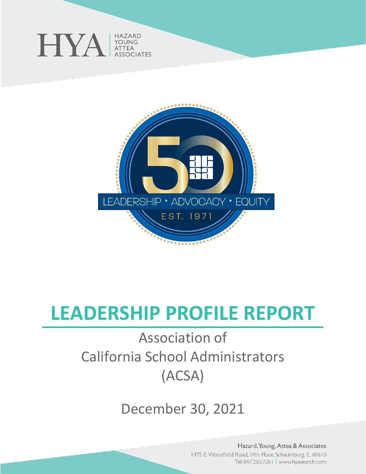



# **LEADERSHIP PROFILE REPORT**

# Association of California School Administrators (ACSA)

December 30, 2021

Hazard, Young, Attea & Associates 1475 E. Woodfield Road, 14th Floor, Schaumburg, IL 60610 Tel 847.250.7261 | www.hyasearch.com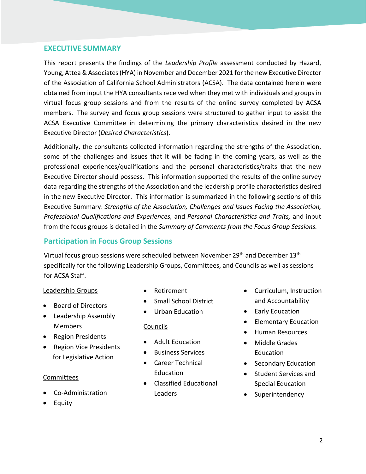# **EXECUTIVE SUMMARY**

This report presents the findings of the *Leadership Profile* assessment conducted by Hazard, Young, Attea & Associates (HYA) in November and December 2021 for the new Executive Director of the Association of California School Administrators (ACSA). The data contained herein were obtained from input the HYA consultants received when they met with individuals and groups in virtual focus group sessions and from the results of the online survey completed by ACSA members. The survey and focus group sessions were structured to gather input to assist the ACSA Executive Committee in determining the primary characteristics desired in the new Executive Director (*Desired Characteristics*).

Additionally, the consultants collected information regarding the strengths of the Association, some of the challenges and issues that it will be facing in the coming years, as well as the professional experiences/qualifications and the personal characteristics/traits that the new Executive Director should possess. This information supported the results of the online survey data regarding the strengths of the Association and the leadership profile characteristics desired in the new Executive Director. This information is summarized in the following sections of this Executive Summary: *Strengths of the Association, Challenges and Issues Facing the Association, Professional Qualifications and Experiences,* and *Personal Characteristics and Traits,* and input from the focus groups is detailed in the *Summary of Comments from the Focus Group Sessions.*

# **Participation in Focus Group Sessions**

Virtual focus group sessions were scheduled between November 29<sup>th</sup> and December 13<sup>th</sup> specifically for the following Leadership Groups, Committees, and Councils as well as sessions for ACSA Staff.

#### Leadership Groups

- Board of Directors
- Leadership Assembly Members
- Region Presidents
- Region Vice Presidents for Legislative Action

#### Committees

- Co-Administration
- Equity
- Retirement
- Small School District
- Urban Education

#### Councils

- Adult Education
- Business Services
- Career Technical Education
- Classified Educational Leaders
- Curriculum, Instruction and Accountability
- Early Education
- Elementary Education
- Human Resources
- Middle Grades Education
- Secondary Education
- Student Services and Special Education
- Superintendency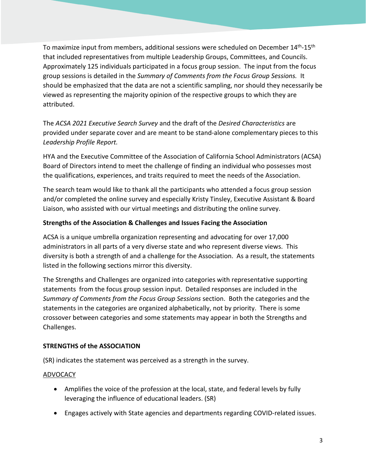To maximize input from members, additional sessions were scheduled on December 14<sup>th</sup>-15<sup>th</sup> that included representatives from multiple Leadership Groups, Committees, and Councils. Approximately 125 individuals participated in a focus group session. The input from the focus group sessions is detailed in the *Summary of Comments from the Focus Group Sessions.* It should be emphasized that the data are not a scientific sampling, nor should they necessarily be viewed as representing the majority opinion of the respective groups to which they are attributed.

The *ACSA 2021 Executive Search Survey* and the draft of the *Desired Characteristics* are provided under separate cover and are meant to be stand-alone complementary pieces to this *Leadership Profile Report.*

HYA and the Executive Committee of the Association of California School Administrators (ACSA) Board of Directors intend to meet the challenge of finding an individual who possesses most the qualifications, experiences, and traits required to meet the needs of the Association.

The search team would like to thank all the participants who attended a focus group session and/or completed the online survey and especially Kristy Tinsley, Executive Assistant & Board Liaison, who assisted with our virtual meetings and distributing the online survey.

# **Strengths of the Association & Challenges and Issues Facing the Association**

ACSA is a unique umbrella organization representing and advocating for over 17,000 administrators in all parts of a very diverse state and who represent diverse views. This diversity is both a strength of and a challenge for the Association. As a result, the statements listed in the following sections mirror this diversity.

The Strengths and Challenges are organized into categories with representative supporting statements from the focus group session input. Detailed responses are included in the *Summary of Comments from the Focus Group Sessions* section. Both the categories and the statements in the categories are organized alphabetically, not by priority. There is some crossover between categories and some statements may appear in both the Strengths and Challenges.

# **STRENGTHS of the ASSOCIATION**

(SR) indicates the statement was perceived as a strength in the survey.

# ADVOCACY

- Amplifies the voice of the profession at the local, state, and federal levels by fully leveraging the influence of educational leaders. (SR)
- Engages actively with State agencies and departments regarding COVID-related issues.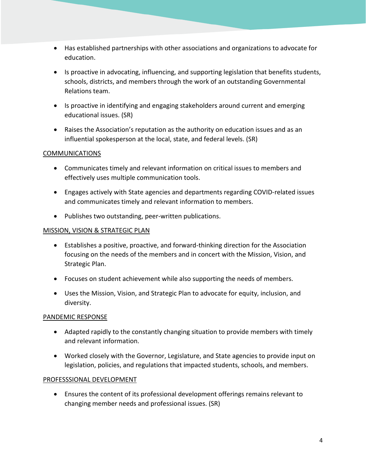- Has established partnerships with other associations and organizations to advocate for education.
- Is proactive in advocating, influencing, and supporting legislation that benefits students, schools, districts, and members through the work of an outstanding Governmental Relations team.
- Is proactive in identifying and engaging stakeholders around current and emerging educational issues. (SR)
- Raises the Association's reputation as the authority on education issues and as an influential spokesperson at the local, state, and federal levels. (SR)

# **COMMUNICATIONS**

- Communicates timely and relevant information on critical issues to members and effectively uses multiple communication tools.
- Engages actively with State agencies and departments regarding COVID-related issues and communicates timely and relevant information to members.
- Publishes two outstanding, peer-written publications.

#### MISSION, VISION & STRATEGIC PLAN

- Establishes a positive, proactive, and forward-thinking direction for the Association focusing on the needs of the members and in concert with the Mission, Vision, and Strategic Plan.
- Focuses on student achievement while also supporting the needs of members.
- Uses the Mission, Vision, and Strategic Plan to advocate for equity, inclusion, and diversity.

#### PANDEMIC RESPONSE

- Adapted rapidly to the constantly changing situation to provide members with timely and relevant information.
- Worked closely with the Governor, Legislature, and State agencies to provide input on legislation, policies, and regulations that impacted students, schools, and members.

# PROFESSSIONAL DEVELOPMENT

• Ensures the content of its professional development offerings remains relevant to changing member needs and professional issues. (SR)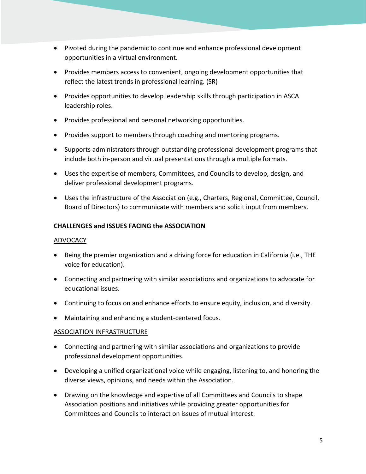- Pivoted during the pandemic to continue and enhance professional development opportunities in a virtual environment.
- Provides members access to convenient, ongoing development opportunities that reflect the latest trends in professional learning. (SR)
- Provides opportunities to develop leadership skills through participation in ASCA leadership roles.
- Provides professional and personal networking opportunities.
- Provides support to members through coaching and mentoring programs.
- Supports administrators through outstanding professional development programs that include both in-person and virtual presentations through a multiple formats.
- Uses the expertise of members, Committees, and Councils to develop, design, and deliver professional development programs.
- Uses the infrastructure of the Association (e.g., Charters, Regional, Committee, Council, Board of Directors) to communicate with members and solicit input from members.

#### **CHALLENGES and ISSUES FACING the ASSOCIATION**

#### ADVOCACY

- Being the premier organization and a driving force for education in California (i.e., THE voice for education).
- Connecting and partnering with similar associations and organizations to advocate for educational issues.
- Continuing to focus on and enhance efforts to ensure equity, inclusion, and diversity.
- Maintaining and enhancing a student-centered focus.

#### ASSOCIATION INFRASTRUCTURE

- Connecting and partnering with similar associations and organizations to provide professional development opportunities.
- Developing a unified organizational voice while engaging, listening to, and honoring the diverse views, opinions, and needs within the Association.
- Drawing on the knowledge and expertise of all Committees and Councils to shape Association positions and initiatives while providing greater opportunities for Committees and Councils to interact on issues of mutual interest.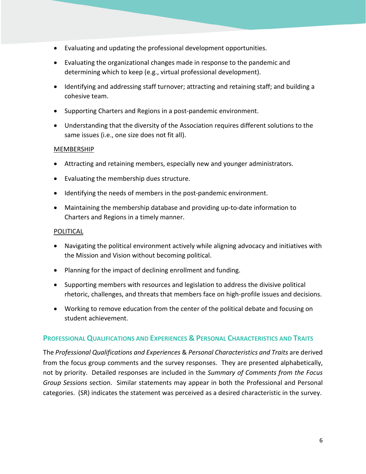- Evaluating and updating the professional development opportunities.
- Evaluating the organizational changes made in response to the pandemic and determining which to keep (e.g., virtual professional development).
- Identifying and addressing staff turnover; attracting and retaining staff; and building a cohesive team.
- Supporting Charters and Regions in a post-pandemic environment.
- Understanding that the diversity of the Association requires different solutions to the same issues (i.e., one size does not fit all).

#### MEMBERSHIP

- Attracting and retaining members, especially new and younger administrators.
- Evaluating the membership dues structure.
- Identifying the needs of members in the post-pandemic environment.
- Maintaining the membership database and providing up-to-date information to Charters and Regions in a timely manner.

#### POLITICAL

- Navigating the political environment actively while aligning advocacy and initiatives with the Mission and Vision without becoming political.
- Planning for the impact of declining enrollment and funding.
- Supporting members with resources and legislation to address the divisive political rhetoric, challenges, and threats that members face on high-profile issues and decisions.
- Working to remove education from the center of the political debate and focusing on student achievement.

# **PROFESSIONAL QUALIFICATIONS AND EXPERIENCES & PERSONAL CHARACTERISTICS AND TRAITS**

The *Professional Qualifications and Experiences* & *Personal Characteristics and Traits* are derived from the focus group comments and the survey responses. They are presented alphabetically, not by priority. Detailed responses are included in the *Summary of Comments from the Focus Group Sessions* section. Similar statements may appear in both the Professional and Personal categories. (SR) indicates the statement was perceived as a desired characteristic in the survey.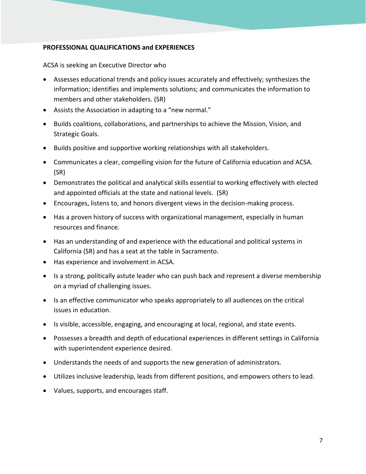#### **PROFESSIONAL QUALIFICATIONS and EXPERIENCES**

ACSA is seeking an Executive Director who

- Assesses educational trends and policy issues accurately and effectively; synthesizes the information; identifies and implements solutions; and communicates the information to members and other stakeholders. (SR)
- Assists the Association in adapting to a "new normal."
- Builds coalitions, collaborations, and partnerships to achieve the Mission, Vision, and Strategic Goals.
- Builds positive and supportive working relationships with all stakeholders.
- Communicates a clear, compelling vision for the future of California education and ACSA. (SR)
- Demonstrates the political and analytical skills essential to working effectively with elected and appointed officials at the state and national levels. (SR)
- Encourages, listens to, and honors divergent views in the decision-making process.
- Has a proven history of success with organizational management, especially in human resources and finance.
- Has an understanding of and experience with the educational and political systems in California (SR) and has a seat at the table in Sacramento.
- Has experience and involvement in ACSA.
- Is a strong, politically astute leader who can push back and represent a diverse membership on a myriad of challenging issues.
- Is an effective communicator who speaks appropriately to all audiences on the critical issues in education.
- Is visible, accessible, engaging, and encouraging at local, regional, and state events.
- Possesses a breadth and depth of educational experiences in different settings in California with superintendent experience desired.
- Understands the needs of and supports the new generation of administrators.
- Utilizes inclusive leadership, leads from different positions, and empowers others to lead.
- Values, supports, and encourages staff.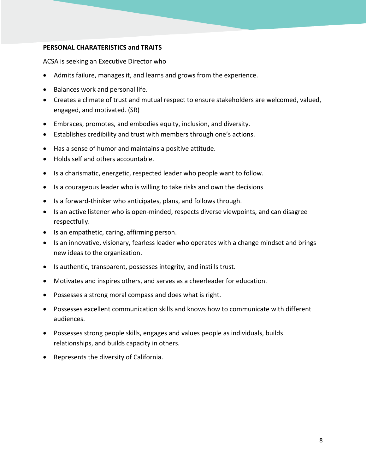#### **PERSONAL CHARATERISTICS and TRAITS**

ACSA is seeking an Executive Director who

- Admits failure, manages it, and learns and grows from the experience.
- Balances work and personal life.
- Creates a climate of trust and mutual respect to ensure stakeholders are welcomed, valued, engaged, and motivated. (SR)
- Embraces, promotes, and embodies equity, inclusion, and diversity.
- Establishes credibility and trust with members through one's actions.
- Has a sense of humor and maintains a positive attitude.
- Holds self and others accountable.
- Is a charismatic, energetic, respected leader who people want to follow.
- Is a courageous leader who is willing to take risks and own the decisions
- Is a forward-thinker who anticipates, plans, and follows through.
- Is an active listener who is open-minded, respects diverse viewpoints, and can disagree respectfully.
- Is an empathetic, caring, affirming person.
- Is an innovative, visionary, fearless leader who operates with a change mindset and brings new ideas to the organization.
- Is authentic, transparent, possesses integrity, and instills trust.
- Motivates and inspires others, and serves as a cheerleader for education.
- Possesses a strong moral compass and does what is right.
- Possesses excellent communication skills and knows how to communicate with different audiences.
- Possesses strong people skills, engages and values people as individuals, builds relationships, and builds capacity in others.
- Represents the diversity of California.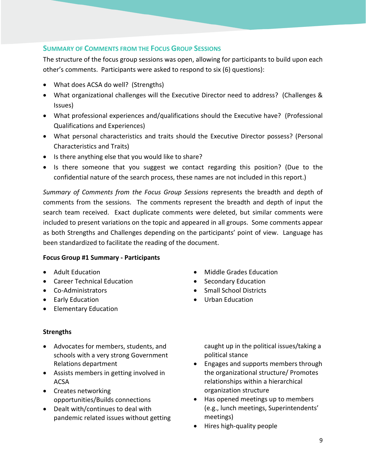# **SUMMARY OF COMMENTS FROM THE FOCUS GROUP SESSIONS**

The structure of the focus group sessions was open, allowing for participants to build upon each other's comments. Participants were asked to respond to six (6) questions):

- What does ACSA do well? (Strengths)
- What organizational challenges will the Executive Director need to address? (Challenges & Issues)
- What professional experiences and/qualifications should the Executive have? (Professional Qualifications and Experiences)
- What personal characteristics and traits should the Executive Director possess? (Personal Characteristics and Traits)
- Is there anything else that you would like to share?
- Is there someone that you suggest we contact regarding this position? (Due to the confidential nature of the search process, these names are not included in this report.)

*Summary of Comments from the Focus Group Sessions* represents the breadth and depth of comments from the sessions. The comments represent the breadth and depth of input the search team received. Exact duplicate comments were deleted, but similar comments were included to present variations on the topic and appeared in all groups. Some comments appear as both Strengths and Challenges depending on the participants' point of view. Language has been standardized to facilitate the reading of the document.

#### **Focus Group #1 Summary - Participants**

- Adult Education
- Career Technical Education
- Co-Administrators
- Early Education
- Elementary Education

#### **Strengths**

- Advocates for members, students, and schools with a very strong Government Relations department
- Assists members in getting involved in ACSA
- Creates networking opportunities/Builds connections
- Dealt with/continues to deal with pandemic related issues without getting

• Middle Grades Education

- Secondary Education
- Small School Districts
- Urban Education

caught up in the political issues/taking a political stance

- Engages and supports members through the organizational structure/ Promotes relationships within a hierarchical organization structure
- Has opened meetings up to members (e.g., lunch meetings, Superintendents' meetings)
- Hires high-quality people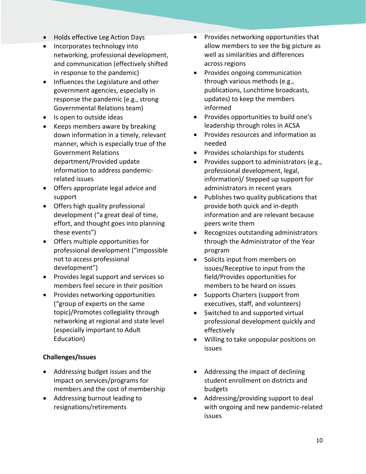- Holds effective Leg Action Days
- Incorporates technology into networking, professional development, and communication (effectively shifted in response to the pandemic)
- Influences the Legislature and other government agencies, especially in response the pandemic (e.g., strong Governmental Relations team)
- Is open to outside ideas
- Keeps members aware by breaking down information in a timely, relevant manner, which is especially true of the Government Relations department/Provided update information to address pandemicrelated issues
- Offers appropriate legal advice and support
- Offers high quality professional development ("a great deal of time, effort, and thought goes into planning these events")
- Offers multiple opportunities for professional development ("impossible not to access professional development")
- Provides legal support and services so members feel secure in their position
- Provides networking opportunities ("group of experts on the same topic)/Promotes collegiality through networking at regional and state level (especially important to Adult Education)

# **Challenges/Issues**

- Addressing budget issues and the impact on services/programs for members and the cost of membership
- Addressing burnout leading to resignations/retirements
- Provides networking opportunities that allow members to see the big picture as well as similarities and differences across regions
- Provides ongoing communication through various methods (e.g., publications, Lunchtime broadcasts, updates) to keep the members informed
- Provides opportunities to build one's leadership through roles in ACSA
- Provides resources and information as needed
- Provides scholarships for students
- Provides support to administrators (e.g., professional development, legal, information)/ Stepped up support for administrators in recent years
- Publishes two quality publications that provide both quick and in-depth information and are relevant because peers write them
- Recognizes outstanding administrators through the Administrator of the Year program
- Solicits input from members on issues/Receptive to input from the field/Provides opportunities for members to be heard on issues
- Supports Charters (support from executives, staff, and volunteers)
- Switched to and supported virtual professional development quickly and effectively
- Willing to take unpopular positions on issues
- Addressing the impact of declining student enrollment on districts and budgets
- Addressing/providing support to deal with ongoing and new pandemic-related issues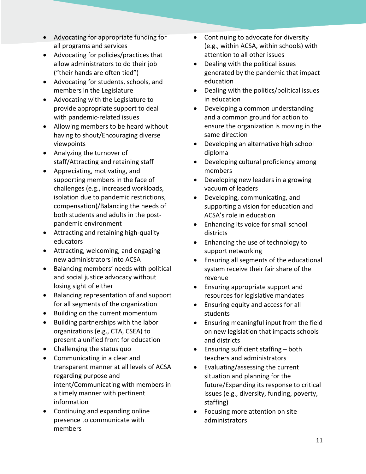- Advocating for appropriate funding for all programs and services
- Advocating for policies/practices that allow administrators to do their job ("their hands are often tied")
- Advocating for students, schools, and members in the Legislature
- Advocating with the Legislature to provide appropriate support to deal with pandemic-related issues
- Allowing members to be heard without having to shout/Encouraging diverse viewpoints
- Analyzing the turnover of staff/Attracting and retaining staff
- Appreciating, motivating, and supporting members in the face of challenges (e.g., increased workloads, isolation due to pandemic restrictions, compensation)/Balancing the needs of both students and adults in the postpandemic environment
- Attracting and retaining high-quality educators
- Attracting, welcoming, and engaging new administrators into ACSA
- Balancing members' needs with political and social justice advocacy without losing sight of either
- Balancing representation of and support for all segments of the organization
- Building on the current momentum
- Building partnerships with the labor organizations (e.g., CTA, CSEA) to present a unified front for education
- Challenging the status quo
- Communicating in a clear and transparent manner at all levels of ACSA regarding purpose and intent/Communicating with members in a timely manner with pertinent information
- Continuing and expanding online presence to communicate with members
- Continuing to advocate for diversity (e.g., within ACSA, within schools) with attention to all other issues
- Dealing with the political issues generated by the pandemic that impact education
- Dealing with the politics/political issues in education
- Developing a common understanding and a common ground for action to ensure the organization is moving in the same direction
- Developing an alternative high school diploma
- Developing cultural proficiency among members
- Developing new leaders in a growing vacuum of leaders
- Developing, communicating, and supporting a vision for education and ACSA's role in education
- Enhancing its voice for small school districts
- Enhancing the use of technology to support networking
- Ensuring all segments of the educational system receive their fair share of the revenue
- Ensuring appropriate support and resources for legislative mandates
- Ensuring equity and access for all students
- Ensuring meaningful input from the field on new legislation that impacts schools and districts
- Ensuring sufficient staffing both teachers and administrators
- Evaluating/assessing the current situation and planning for the future/Expanding its response to critical issues (e.g., diversity, funding, poverty, staffing)
- Focusing more attention on site administrators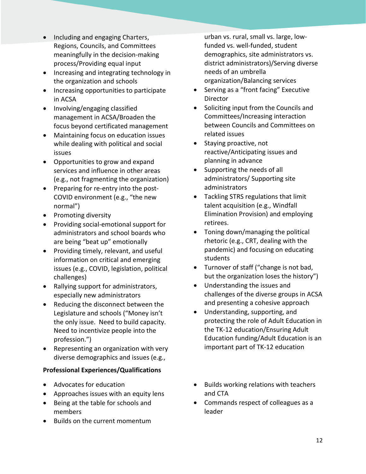- Including and engaging Charters, Regions, Councils, and Committees meaningfully in the decision-making process/Providing equal input
- Increasing and integrating technology in the organization and schools
- Increasing opportunities to participate in ACSA
- Involving/engaging classified management in ACSA/Broaden the focus beyond certificated management
- Maintaining focus on education issues while dealing with political and social issues
- Opportunities to grow and expand services and influence in other areas (e.g., not fragmenting the organization)
- Preparing for re-entry into the post-COVID environment (e.g., "the new normal")
- Promoting diversity
- Providing social-emotional support for administrators and school boards who are being "beat up" emotionally
- Providing timely, relevant, and useful information on critical and emerging issues (e.g., COVID, legislation, political challenges)
- Rallying support for administrators, especially new administrators
- Reducing the disconnect between the Legislature and schools ("Money isn't the only issue. Need to build capacity. Need to incentivize people into the profession.")
- Representing an organization with very diverse demographics and issues (e.g.,

# **Professional Experiences/Qualifications**

- Advocates for education
- Approaches issues with an equity lens
- Being at the table for schools and members
- Builds on the current momentum

urban vs. rural, small vs. large, lowfunded vs. well-funded, student demographics, site administrators vs. district administrators)/Serving diverse needs of an umbrella organization/Balancing services

- Serving as a "front facing" Executive Director
- Soliciting input from the Councils and Committees/Increasing interaction between Councils and Committees on related issues
- Staying proactive, not reactive/Anticipating issues and planning in advance
- Supporting the needs of all administrators/ Supporting site administrators
- Tackling STRS regulations that limit talent acquisition (e.g., Windfall Elimination Provision) and employing retirees.
- Toning down/managing the political rhetoric (e.g., CRT, dealing with the pandemic) and focusing on educating students
- Turnover of staff ("change is not bad, but the organization loses the history")
- Understanding the issues and challenges of the diverse groups in ACSA and presenting a cohesive approach
- Understanding, supporting, and protecting the role of Adult Education in the TK-12 education/Ensuring Adult Education funding/Adult Education is an important part of TK-12 education
- Builds working relations with teachers and CTA
- Commands respect of colleagues as a leader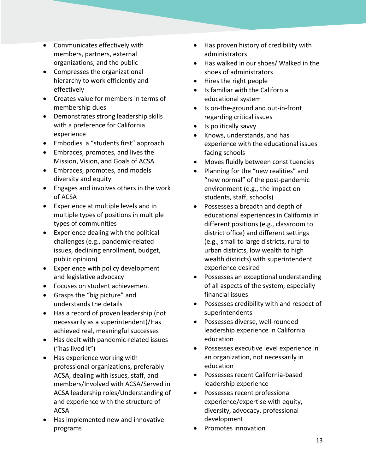- Communicates effectively with members, partners, external organizations, and the public
- Compresses the organizational hierarchy to work efficiently and effectively
- Creates value for members in terms of membership dues
- Demonstrates strong leadership skills with a preference for California experience
- Embodies a "students first" approach
- Embraces, promotes, and lives the Mission, Vision, and Goals of ACSA
- Embraces, promotes, and models diversity and equity
- Engages and involves others in the work of ACSA
- Experience at multiple levels and in multiple types of positions in multiple types of communities
- Experience dealing with the political challenges (e.g., pandemic-related issues, declining enrollment, budget, public opinion)
- Experience with policy development and legislative advocacy
- Focuses on student achievement
- Grasps the "big picture" and understands the details
- Has a record of proven leadership (not necessarily as a superintendent)/Has achieved real, meaningful successes
- Has dealt with pandemic-related issues ("has lived it")
- Has experience working with professional organizations, preferably ACSA, dealing with issues, staff, and members/Involved with ACSA/Served in ACSA leadership roles/Understanding of and experience with the structure of ACSA
- Has implemented new and innovative programs
- Has proven history of credibility with administrators
- Has walked in our shoes/ Walked in the shoes of administrators
- Hires the right people
- Is familiar with the California educational system
- Is on-the-ground and out-in-front regarding critical issues
- Is politically savvy
- Knows, understands, and has experience with the educational issues facing schools
- Moves fluidly between constituencies
- Planning for the "new realities" and "new normal" of the post-pandemic environment (e.g., the impact on students, staff, schools)
- Possesses a breadth and depth of educational experiences in California in different positions (e.g., classroom to district office) and different settings (e.g., small to large districts, rural to urban districts, low wealth to high wealth districts) with superintendent experience desired
- Possesses an exceptional understanding of all aspects of the system, especially financial issues
- Possesses credibility with and respect of superintendents
- Possesses diverse, well-rounded leadership experience in California education
- Possesses executive level experience in an organization, not necessarily in education
- Possesses recent California-based leadership experience
- Possesses recent professional experience/expertise with equity, diversity, advocacy, professional development
- Promotes innovation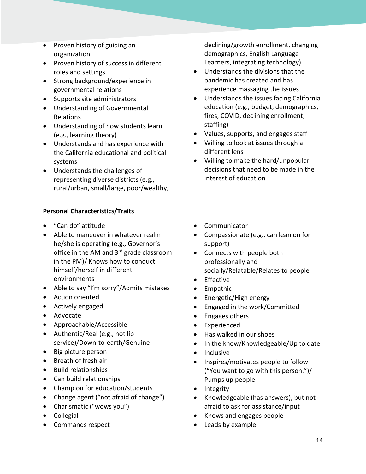- Proven history of guiding an organization
- Proven history of success in different roles and settings
- Strong background/experience in governmental relations
- Supports site administrators
- Understanding of Governmental Relations
- Understanding of how students learn (e.g., learning theory)
- Understands and has experience with the California educational and political systems
- Understands the challenges of representing diverse districts (e.g., rural/urban, small/large, poor/wealthy,

# **Personal Characteristics/Traits**

- "Can do" attitude
- Able to maneuver in whatever realm he/she is operating (e.g., Governor's office in the AM and 3<sup>rd</sup> grade classroom in the PM)/ Knows how to conduct himself/herself in different environments
- Able to say "I'm sorry"/Admits mistakes
- Action oriented
- Actively engaged
- Advocate
- Approachable/Accessible
- Authentic/Real (e.g., not lip service)/Down-to-earth/Genuine
- Big picture person
- Breath of fresh air
- Build relationships
- Can build relationships
- Champion for education/students
- Change agent ("not afraid of change")
- Charismatic ("wows you")
- Collegial
- Commands respect

declining/growth enrollment, changing demographics, English Language Learners, integrating technology)

- Understands the divisions that the pandemic has created and has experience massaging the issues
- Understands the issues facing California education (e.g., budget, demographics, fires, COVID, declining enrollment, staffing)
- Values, supports, and engages staff
- Willing to look at issues through a different lens
- Willing to make the hard/unpopular decisions that need to be made in the interest of education
- Communicator
- Compassionate (e.g., can lean on for support)
- Connects with people both professionally and socially/Relatable/Relates to people
- **Effective**
- Empathic
- Energetic/High energy
- Engaged in the work/Committed
- Engages others
- Experienced
- Has walked in our shoes
- In the know/Knowledgeable/Up to date
- Inclusive
- Inspires/motivates people to follow ("You want to go with this person.")/ Pumps up people
- Integrity
- Knowledgeable (has answers), but not afraid to ask for assistance/input
- Knows and engages people
- Leads by example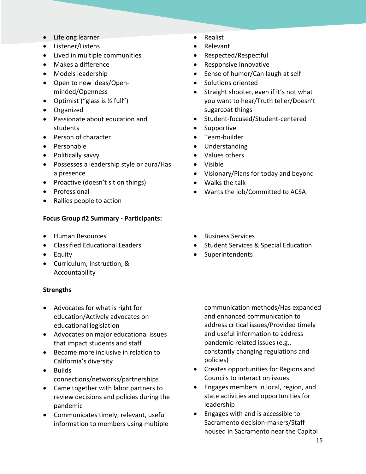- Lifelong learner
- Listener/Listens
- Lived in multiple communities
- Makes a difference
- Models leadership
- Open to new ideas/Openminded/Openness
- Optimist ("glass is  $\frac{1}{2}$  full")
- Organized
- Passionate about education and students
- Person of character
- Personable
- Politically savvy
- Possesses a leadership style or aura/Has a presence
- Proactive (doesn't sit on things)
- Professional
- Rallies people to action

#### **Focus Group #2 Summary - Participants:**

- Human Resources
- Classified Educational Leaders
- Equity
- Curriculum, Instruction, & Accountability

#### **Strengths**

- Advocates for what is right for education/Actively advocates on educational legislation
- Advocates on major educational issues that impact students and staff
- Became more inclusive in relation to California's diversity
- Builds connections/networks/partnerships
- Came together with labor partners to review decisions and policies during the pandemic
- Communicates timely, relevant, useful information to members using multiple
- Realist
- Relevant
- Respected/Respectful
- Responsive Innovative
- Sense of humor/Can laugh at self
- Solutions oriented
- Straight shooter, even if it's not what you want to hear/Truth teller/Doesn't sugarcoat things
- Student-focused/Student-centered
- **Supportive**
- Team-builder
- Understanding
- Values others
- Visible
- Visionary/Plans for today and beyond
- Walks the talk
- Wants the job/Committed to ACSA
- Business Services
- Student Services & Special Education
- **Superintendents**

communication methods/Has expanded and enhanced communication to address critical issues/Provided timely and useful information to address pandemic-related issues (e.g., constantly changing regulations and policies)

- Creates opportunities for Regions and Councils to interact on issues
- Engages members in local, region, and state activities and opportunities for leadership
- Engages with and is accessible to Sacramento decision-makers/Staff housed in Sacramento near the Capitol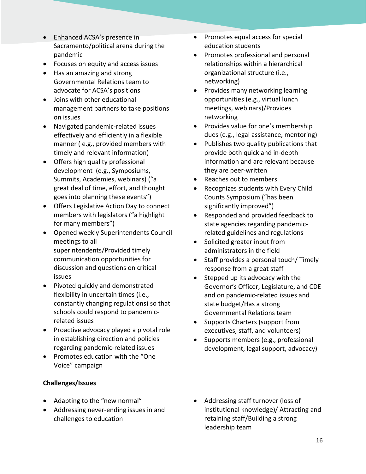- Enhanced ACSA's presence in Sacramento/political arena during the pandemic
- Focuses on equity and access issues
- Has an amazing and strong Governmental Relations team to advocate for ACSA's positions
- Joins with other educational management partners to take positions on issues
- Navigated pandemic-related issues effectively and efficiently in a flexible manner ( e.g., provided members with timely and relevant information)
- Offers high quality professional development (e.g., Symposiums, Summits, Academies, webinars) ("a great deal of time, effort, and thought goes into planning these events")
- Offers Legislative Action Day to connect members with legislators ("a highlight for many members")
- Opened weekly Superintendents Council meetings to all superintendents/Provided timely communication opportunities for discussion and questions on critical issues
- Pivoted quickly and demonstrated flexibility in uncertain times (i.e., constantly changing regulations) so that schools could respond to pandemicrelated issues
- Proactive advocacy played a pivotal role in establishing direction and policies regarding pandemic-related issues
- Promotes education with the "One Voice" campaign

# **Challenges/Issues**

- Adapting to the "new normal"
- Addressing never-ending issues in and challenges to education
- Promotes equal access for special education students
- Promotes professional and personal relationships within a hierarchical organizational structure (i.e., networking)
- Provides many networking learning opportunities (e.g., virtual lunch meetings, webinars)/Provides networking
- Provides value for one's membership dues (e.g., legal assistance, mentoring)
- Publishes two quality publications that provide both quick and in-depth information and are relevant because they are peer-written
- Reaches out to members
- Recognizes students with Every Child Counts Symposium ("has been significantly improved")
- Responded and provided feedback to state agencies regarding pandemicrelated guidelines and regulations
- Solicited greater input from administrators in the field
- Staff provides a personal touch/ Timely response from a great staff
- Stepped up its advocacy with the Governor's Officer, Legislature, and CDE and on pandemic-related issues and state budget/Has a strong Governmental Relations team
- Supports Charters (support from executives, staff, and volunteers)
- Supports members (e.g., professional development, legal support, advocacy)
- Addressing staff turnover (loss of institutional knowledge)/ Attracting and retaining staff/Building a strong leadership team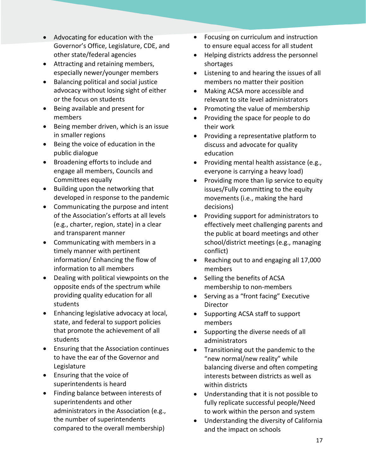- Advocating for education with the Governor's Office, Legislature, CDE, and other state/federal agencies
- Attracting and retaining members, especially newer/younger members
- Balancing political and social justice advocacy without losing sight of either or the focus on students
- Being available and present for members
- Being member driven, which is an issue in smaller regions
- Being the voice of education in the public dialogue
- Broadening efforts to include and engage all members, Councils and Committees equally
- Building upon the networking that developed in response to the pandemic
- Communicating the purpose and intent of the Association's efforts at all levels (e.g., charter, region, state) in a clear and transparent manner
- Communicating with members in a timely manner with pertinent information/ Enhancing the flow of information to all members
- Dealing with political viewpoints on the opposite ends of the spectrum while providing quality education for all students
- Enhancing legislative advocacy at local, state, and federal to support policies that promote the achievement of all students
- Ensuring that the Association continues to have the ear of the Governor and Legislature
- Ensuring that the voice of superintendents is heard
- Finding balance between interests of superintendents and other administrators in the Association (e.g., the number of superintendents compared to the overall membership)
- Focusing on curriculum and instruction to ensure equal access for all student
- Helping districts address the personnel shortages
- Listening to and hearing the issues of all members no matter their position
- Making ACSA more accessible and relevant to site level administrators
- Promoting the value of membership
- Providing the space for people to do their work
- Providing a representative platform to discuss and advocate for quality education
- Providing mental health assistance (e.g., everyone is carrying a heavy load)
- Providing more than lip service to equity issues/Fully committing to the equity movements (i.e., making the hard decisions)
- Providing support for administrators to effectively meet challenging parents and the public at board meetings and other school/district meetings (e.g., managing conflict)
- Reaching out to and engaging all 17,000 members
- Selling the benefits of ACSA membership to non-members
- Serving as a "front facing" Executive Director
- Supporting ACSA staff to support members
- Supporting the diverse needs of all administrators
- Transitioning out the pandemic to the "new normal/new reality" while balancing diverse and often competing interests between districts as well as within districts
- Understanding that it is not possible to fully replicate successful people/Need to work within the person and system
- Understanding the diversity of California and the impact on schools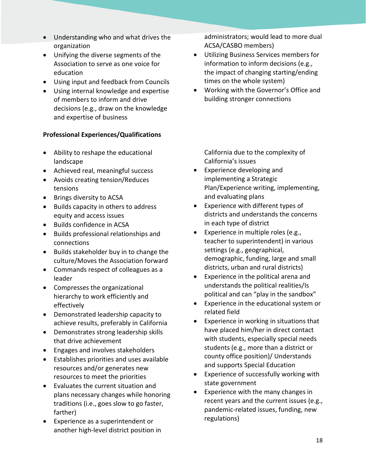- Understanding who and what drives the organization
- Unifying the diverse segments of the Association to serve as one voice for education
- Using input and feedback from Councils
- Using internal knowledge and expertise of members to inform and drive decisions (e.g., draw on the knowledge and expertise of business

#### **Professional Experiences/Qualifications**

- Ability to reshape the educational landscape
- Achieved real, meaningful success
- Avoids creating tension/Reduces tensions
- Brings diversity to ACSA
- Builds capacity in others to address equity and access issues
- Builds confidence in ACSA
- Builds professional relationships and connections
- Builds stakeholder buy in to change the culture/Moves the Association forward
- Commands respect of colleagues as a leader
- Compresses the organizational hierarchy to work efficiently and effectively
- Demonstrated leadership capacity to achieve results, preferably in California
- Demonstrates strong leadership skills that drive achievement
- Engages and involves stakeholders
- Establishes priorities and uses available resources and/or generates new resources to meet the priorities
- Evaluates the current situation and plans necessary changes while honoring traditions (i.e., goes slow to go faster, farther)
- Experience as a superintendent or another high-level district position in

administrators; would lead to more dual ACSA/CASBO members)

- Utilizing Business Services members for information to inform decisions (e.g., the impact of changing starting/ending times on the whole system)
- Working with the Governor's Office and building stronger connections

California due to the complexity of California's issues

- Experience developing and implementing a Strategic Plan/Experience writing, implementing, and evaluating plans
- Experience with different types of districts and understands the concerns in each type of district
- Experience in multiple roles (e.g., teacher to superintendent) in various settings (e.g., geographical, demographic, funding, large and small districts, urban and rural districts)
- Experience in the political arena and understands the political realities/Is political and can "play in the sandbox"
- Experience in the educational system or related field
- Experience in working in situations that have placed him/her in direct contact with students, especially special needs students (e.g., more than a district or county office position)/ Understands and supports Special Education
- Experience of successfully working with state government
- Experience with the many changes in recent years and the current issues (e.g., pandemic-related issues, funding, new regulations)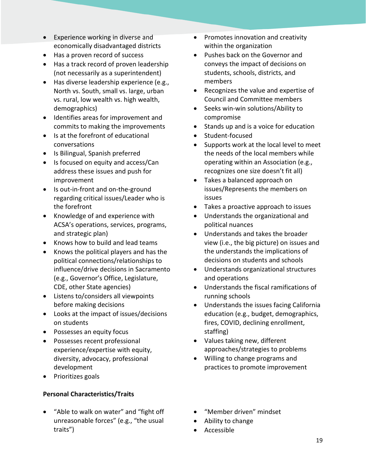- Experience working in diverse and economically disadvantaged districts
- Has a proven record of success
- Has a track record of proven leadership (not necessarily as a superintendent)
- Has diverse leadership experience (e.g., North vs. South, small vs. large, urban vs. rural, low wealth vs. high wealth, demographics)
- Identifies areas for improvement and commits to making the improvements
- Is at the forefront of educational conversations
- Is Bilingual, Spanish preferred
- Is focused on equity and access/Can address these issues and push for improvement
- Is out-in-front and on-the-ground regarding critical issues/Leader who is the forefront
- Knowledge of and experience with ACSA's operations, services, programs, and strategic plan)
- Knows how to build and lead teams
- Knows the political players and has the political connections/relationships to influence/drive decisions in Sacramento (e.g., Governor's Office, Legislature, CDE, other State agencies)
- Listens to/considers all viewpoints before making decisions
- Looks at the impact of issues/decisions on students
- Possesses an equity focus
- Possesses recent professional experience/expertise with equity, diversity, advocacy, professional development
- Prioritizes goals

# **Personal Characteristics/Traits**

• "Able to walk on water" and "fight off unreasonable forces" (e.g., "the usual traits")

- Promotes innovation and creativity within the organization
- Pushes back on the Governor and conveys the impact of decisions on students, schools, districts, and members
- Recognizes the value and expertise of Council and Committee members
- Seeks win-win solutions/Ability to compromise
- Stands up and is a voice for education
- Student-focused
- Supports work at the local level to meet the needs of the local members while operating within an Association (e.g., recognizes one size doesn't fit all)
- Takes a balanced approach on issues/Represents the members on issues
- Takes a proactive approach to issues
- Understands the organizational and political nuances
- Understands and takes the broader view (i.e., the big picture) on issues and the understands the implications of decisions on students and schools
- Understands organizational structures and operations
- Understands the fiscal ramifications of running schools
- Understands the issues facing California education (e.g., budget, demographics, fires, COVID, declining enrollment, staffing)
- Values taking new, different approaches/strategies to problems
- Willing to change programs and practices to promote improvement
- "Member driven" mindset
- Ability to change
- Accessible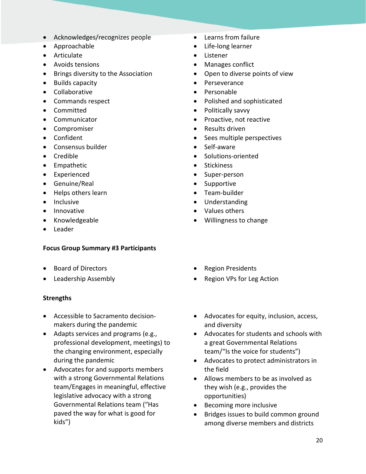- Acknowledges/recognizes people
- Approachable
- Articulate
- Avoids tensions
- Brings diversity to the Association
- Builds capacity
- Collaborative
- Commands respect
- Committed
- Communicator
- Compromiser
- Confident
- Consensus builder
- Credible
- Empathetic
- Experienced
- Genuine/Real
- Helps others learn
- Inclusive
- Innovative
- Knowledgeable
- Leader

#### **Focus Group Summary #3 Participants**

- Board of Directors
- Leadership Assembly

#### **Strengths**

- Accessible to Sacramento decisionmakers during the pandemic
- Adapts services and programs (e.g., professional development, meetings) to the changing environment, especially during the pandemic
- Advocates for and supports members with a strong Governmental Relations team/Engages in meaningful, effective legislative advocacy with a strong Governmental Relations team ("Has paved the way for what is good for kids")
- Learns from failure
- Life-long learner
- Listener
- Manages conflict
- Open to diverse points of view
- Perseverance
- Personable
- Polished and sophisticated
- Politically savvy
- Proactive, not reactive
- Results driven
- Sees multiple perspectives
- Self-aware
- Solutions-oriented
- Stickiness
- Super-person
- Supportive
- Team-builder
- Understanding
- Values others
- Willingness to change
- Region Presidents
- Region VPs for Leg Action
- Advocates for equity, inclusion, access, and diversity
- Advocates for students and schools with a great Governmental Relations team/"Is the voice for students")
- Advocates to protect administrators in the field
- Allows members to be as involved as they wish (e.g., provides the opportunities)
- Becoming more inclusive
- Bridges issues to build common ground among diverse members and districts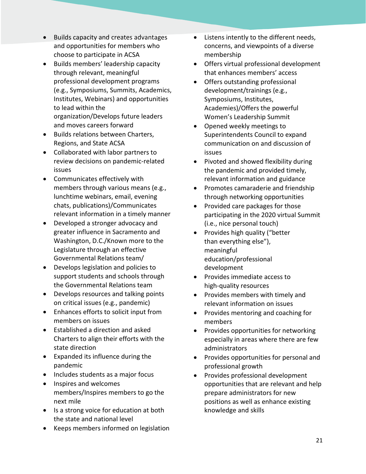- Builds capacity and creates advantages and opportunities for members who choose to participate in ACSA
- Builds members' leadership capacity through relevant, meaningful professional development programs (e.g., Symposiums, Summits, Academics, Institutes, Webinars) and opportunities to lead within the organization/Develops future leaders and moves careers forward
- Builds relations between Charters, Regions, and State ACSA
- Collaborated with labor partners to review decisions on pandemic-related issues
- Communicates effectively with members through various means (e.g., lunchtime webinars, email, evening chats, publications)/Communicates relevant information in a timely manner
- Developed a stronger advocacy and greater influence in Sacramento and Washington, D.C./Known more to the Legislature through an effective Governmental Relations team/
- Develops legislation and policies to support students and schools through the Governmental Relations team
- Develops resources and talking points on critical issues (e.g., pandemic)
- Enhances efforts to solicit input from members on issues
- Established a direction and asked Charters to align their efforts with the state direction
- Expanded its influence during the pandemic
- Includes students as a major focus
- Inspires and welcomes members/Inspires members to go the next mile
- Is a strong voice for education at both the state and national level
- Keeps members informed on legislation
- Listens intently to the different needs, concerns, and viewpoints of a diverse membership
- Offers virtual professional development that enhances members' access
- Offers outstanding professional development/trainings (e.g., Symposiums, Institutes, Academies)/Offers the powerful Women's Leadership Summit
- Opened weekly meetings to Superintendents Council to expand communication on and discussion of issues
- Pivoted and showed flexibility during the pandemic and provided timely, relevant information and guidance
- Promotes camaraderie and friendship through networking opportunities
- Provided care packages for those participating in the 2020 virtual Summit (i.e., nice personal touch)
- Provides high quality ("better than everything else"), meaningful education/professional development
- Provides immediate access to high-quality resources
- Provides members with timely and relevant information on issues
- Provides mentoring and coaching for members
- Provides opportunities for networking especially in areas where there are few administrators
- Provides opportunities for personal and professional growth
- Provides professional development opportunities that are relevant and help prepare administrators for new positions as well as enhance existing knowledge and skills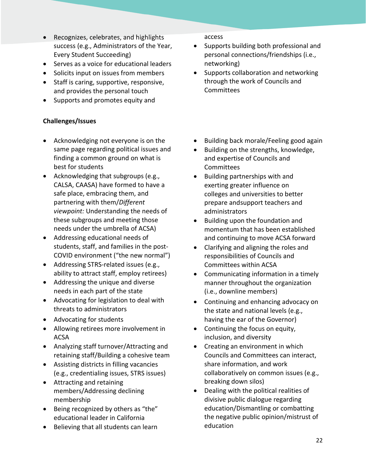- Recognizes, celebrates, and highlights success (e.g., Administrators of the Year, Every Student Succeeding)
- Serves as a voice for educational leaders
- Solicits input on issues from members
- Staff is caring, supportive, responsive, and provides the personal touch
- Supports and promotes equity and

# **Challenges/Issues**

- Acknowledging not everyone is on the same page regarding political issues and finding a common ground on what is best for students
- Acknowledging that subgroups (e.g., CALSA, CAASA) have formed to have a safe place, embracing them, and partnering with them/*Different viewpoint:* Understanding the needs of these subgroups and meeting those needs under the umbrella of ACSA)
- Addressing educational needs of students, staff, and families in the post-COVID environment ("the new normal")
- Addressing STRS-related issues (e.g., ability to attract staff, employ retirees)
- Addressing the unique and diverse needs in each part of the state
- Advocating for legislation to deal with threats to administrators
- Advocating for students
- Allowing retirees more involvement in ACSA
- Analyzing staff turnover/Attracting and retaining staff/Building a cohesive team
- Assisting districts in filling vacancies (e.g., credentialing issues, STRS issues)
- Attracting and retaining members/Addressing declining membership
- Being recognized by others as "the" educational leader in California
- Believing that all students can learn

access

- Supports building both professional and personal connections/friendships (i.e., networking)
- Supports collaboration and networking through the work of Councils and **Committees**
- Building back morale/Feeling good again
- Building on the strengths, knowledge, and expertise of Councils and Committees
- Building partnerships with and exerting greater influence on colleges and universities to better prepare andsupport teachers and administrators
- Building upon the foundation and momentum that has been established and continuing to move ACSA forward
- Clarifying and aligning the roles and responsibilities of Councils and Committees within ACSA
- Communicating information in a timely manner throughout the organization (i.e., downline members)
- Continuing and enhancing advocacy on the state and national levels (e.g., having the ear of the Governor)
- Continuing the focus on equity, inclusion, and diversity
- Creating an environment in which Councils and Committees can interact, share information, and work collaboratively on common issues (e.g., breaking down silos)
- Dealing with the political realities of divisive public dialogue regarding education/Dismantling or combatting the negative public opinion/mistrust of education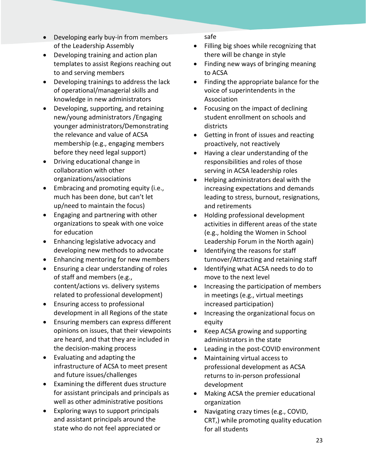- Developing early buy-in from members of the Leadership Assembly
- Developing training and action plan templates to assist Regions reaching out to and serving members
- Developing trainings to address the lack of operational/managerial skills and knowledge in new administrators
- Developing, supporting, and retaining new/young administrators /Engaging younger administrators/Demonstrating the relevance and value of ACSA membership (e.g., engaging members before they need legal support)
- Driving educational change in collaboration with other organizations/associations
- Embracing and promoting equity (i.e., much has been done, but can't let up/need to maintain the focus)
- Engaging and partnering with other organizations to speak with one voice for education
- Enhancing legislative advocacy and developing new methods to advocate
- Enhancing mentoring for new members
- Ensuring a clear understanding of roles of staff and members (e.g., content/actions vs. delivery systems related to professional development)
- Ensuring access to professional development in all Regions of the state
- Ensuring members can express different opinions on issues, that their viewpoints are heard, and that they are included in the decision-making process
- Evaluating and adapting the infrastructure of ACSA to meet present and future issues/challenges
- Examining the different dues structure for assistant principals and principals as well as other administrative positions
- Exploring ways to support principals and assistant principals around the state who do not feel appreciated or

safe

- Filling big shoes while recognizing that there will be change in style
- Finding new ways of bringing meaning to ACSA
- Finding the appropriate balance for the voice of superintendents in the Association
- Focusing on the impact of declining student enrollment on schools and districts
- Getting in front of issues and reacting proactively, not reactively
- Having a clear understanding of the responsibilities and roles of those serving in ACSA leadership roles
- Helping administrators deal with the increasing expectations and demands leading to stress, burnout, resignations, and retirements
- Holding professional development activities in different areas of the state (e.g., holding the Women in School Leadership Forum in the North again)
- Identifying the reasons for staff turnover/Attracting and retaining staff
- Identifying what ACSA needs to do to move to the next level
- Increasing the participation of members in meetings (e.g., virtual meetings increased participation)
- Increasing the organizational focus on equity
- Keep ACSA growing and supporting administrators in the state
- Leading in the post-COVID environment
- Maintaining virtual access to professional development as ACSA returns to in-person professional development
- Making ACSA the premier educational organization
- Navigating crazy times (e.g., COVID, CRT,) while promoting quality education for all students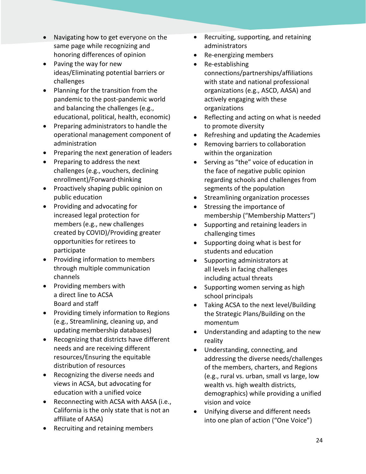- Navigating how to get everyone on the same page while recognizing and honoring differences of opinion
- Paving the way for new ideas/Eliminating potential barriers or challenges
- Planning for the transition from the pandemic to the post-pandemic world and balancing the challenges (e.g., educational, political, health, economic)
- Preparing administrators to handle the operational management component of administration
- Preparing the next generation of leaders
- Preparing to address the next challenges (e.g., vouchers, declining enrollment)/Forward-thinking
- Proactively shaping public opinion on public education
- Providing and advocating for increased legal protection for members (e.g., new challenges created by COVID)/Providing greater opportunities for retirees to participate
- Providing information to members through multiple communication channels
- Providing members with a direct line to ACSA Board and staff
- Providing timely information to Regions (e.g., Streamlining, cleaning up, and updating membership databases)
- Recognizing that districts have different needs and are receiving different resources/Ensuring the equitable distribution of resources
- Recognizing the diverse needs and views in ACSA, but advocating for education with a unified voice
- Reconnecting with ACSA with AASA (i.e., California is the only state that is not an affiliate of AASA)
- Recruiting and retaining members
- Recruiting, supporting, and retaining administrators
- Re-energizing members
- Re-establishing connections/partnerships/affiliations with state and national professional organizations (e.g., ASCD, AASA) and actively engaging with these organizations
- Reflecting and acting on what is needed to promote diversity
- Refreshing and updating the Academies
- Removing barriers to collaboration within the organization
- Serving as "the" voice of education in the face of negative public opinion regarding schools and challenges from segments of the population
- Streamlining organization processes
- Stressing the importance of membership ("Membership Matters")
- Supporting and retaining leaders in challenging times
- Supporting doing what is best for students and education
- Supporting administrators at all levels in facing challenges including actual threats
- Supporting women serving as high school principals
- Taking ACSA to the next level/Building the Strategic Plans/Building on the momentum
- Understanding and adapting to the new reality
- Understanding, connecting, and addressing the diverse needs/challenges of the members, charters, and Regions (e.g., rural vs. urban, small vs large, low wealth vs. high wealth districts, demographics) while providing a unified vision and voice
- Unifying diverse and different needs into one plan of action ("One Voice")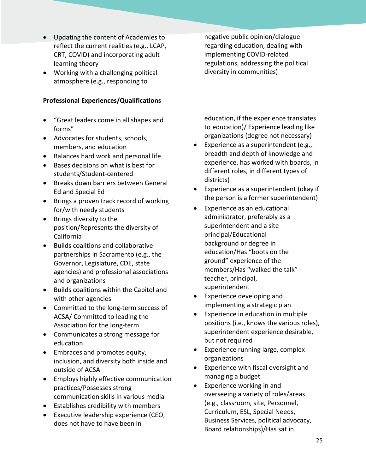- Updating the content of Academies to reflect the current realities (e.g., LCAP, CRT, COVID) and incorporating adult learning theory
- Working with a challenging political atmosphere (e.g., responding to

#### **Professional Experiences/Qualifications**

- "Great leaders come in all shapes and forms"
- Advocates for students, schools, members, and education
- Balances hard work and personal life
- Bases decisions on what is best for students/Student-centered
- Breaks down barriers between General Ed and Special Ed
- Brings a proven track record of working for/with needy students
- Brings diversity to the position/Represents the diversity of California
- Builds coalitions and collaborative partnerships in Sacramento (e.g., the Governor, Legislature, CDE, state agencies) and professional associations and organizations
- Builds coalitions within the Capitol and with other agencies
- Committed to the long-term success of ACSA/ Committed to leading the Association for the long-term
- Communicates a strong message for education
- Embraces and promotes equity, inclusion, and diversity both inside and outside of ACSA
- Employs highly effective communication practices/Possesses strong communication skills in various media
- Establishes credibility with members
- Executive leadership experience (CEO, does not have to have been in

negative public opinion/dialogue regarding education, dealing with implementing COVID-related regulations, addressing the political diversity in communities)

education, if the experience translates to education)/ Experience leading like organizations (degree not necessary)

- Experience as a superintendent (e.g., breadth and depth of knowledge and experience, has worked with boards, in different roles, in different types of districts)
- Experience as a superintendent (okay if the person is a former superintendent)
- Experience as an educational administrator, preferably as a superintendent and a site principal/Educational background or degree in education/Has "boots on the ground" experience of the members/Has "walked the talk" teacher, principal, superintendent
- Experience developing and implementing a strategic plan
- Experience in education in multiple positions (i.e., knows the various roles), superintendent experience desirable, but not required
- Experience running large, complex organizations
- Experience with fiscal oversight and managing a budget
- Experience working in and overseeing a variety of roles/areas (e.g., classroom, site, Personnel, Curriculum, ESL, Special Needs, Business Services, political advocacy, Board relationships)/Has sat in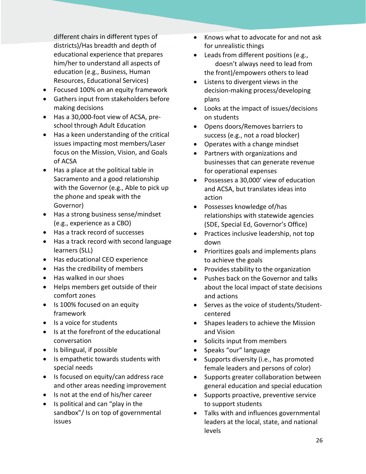different chairs in different types of districts)/Has breadth and depth of educational experience that prepares him/her to understand all aspects of education (e.g., Business, Human Resources, Educational Services)

- Focused 100% on an equity framework
- Gathers input from stakeholders before making decisions
- Has a 30,000-foot view of ACSA, preschool through Adult Education
- Has a keen understanding of the critical issues impacting most members/Laser focus on the Mission, Vision, and Goals of ACSA
- Has a place at the political table in Sacramento and a good relationship with the Governor (e.g., Able to pick up the phone and speak with the Governor)
- Has a strong business sense/mindset (e.g., experience as a CBO)
- Has a track record of successes
- Has a track record with second language learners (SLL)
- Has educational CEO experience
- Has the credibility of members
- Has walked in our shoes
- Helps members get outside of their comfort zones
- Is 100% focused on an equity framework
- Is a voice for students
- Is at the forefront of the educational conversation
- Is bilingual, if possible
- Is empathetic towards students with special needs
- Is focused on equity/can address race and other areas needing improvement
- Is not at the end of his/her career
- Is political and can "play in the sandbox"/ Is on top of governmental issues
- Knows what to advocate for and not ask for unrealistic things
- Leads from different positions (e.g., doesn't always need to lead from the front)/empowers others to lead
- Listens to divergent views in the decision-making process/developing plans
- Looks at the impact of issues/decisions on students
- Opens doors/Removes barriers to success (e.g., not a road blocker)
- Operates with a change mindset
- Partners with organizations and businesses that can generate revenue for operational expenses
- Possesses a 30,000' view of education and ACSA, but translates ideas into action
- Possesses knowledge of/has relationships with statewide agencies (SDE, Special Ed, Governor's Office)
- Practices inclusive leadership, not top down
- Prioritizes goals and implements plans to achieve the goals
- Provides stability to the organization
- Pushes back on the Governor and talks about the local impact of state decisions and actions
- Serves as the voice of students/Studentcentered
- Shapes leaders to achieve the Mission and Vision
- Solicits input from members
- Speaks "our" language
- Supports diversity (i.e., has promoted female leaders and persons of color)
- Supports greater collaboration between general education and special education
- Supports proactive, preventive service to support students
- Talks with and influences governmental leaders at the local, state, and national levels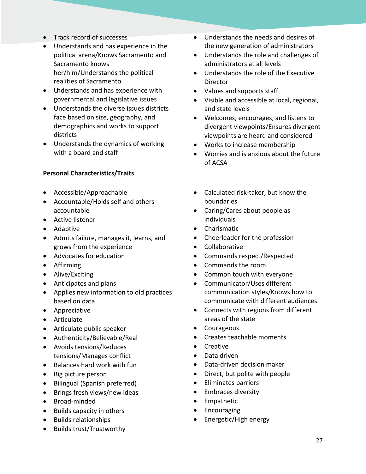- Track record of successes
- Understands and has experience in the political arena/Knows Sacramento and Sacramento knows her/him/Understands the political realities of Sacramento
- Understands and has experience with governmental and legislative issues
- Understands the diverse issues districts face based on size, geography, and demographics and works to support districts
- Understands the dynamics of working with a board and staff

# **Personal Characteristics/Traits**

- Accessible/Approachable
- Accountable/Holds self and others accountable
- Active listener
- Adaptive
- Admits failure, manages it, learns, and grows from the experience
- Advocates for education
- Affirming
- Alive/Exciting
- Anticipates and plans
- Applies new information to old practices based on data
- Appreciative
- Articulate
- Articulate public speaker
- Authenticity/Believable/Real
- Avoids tensions/Reduces tensions/Manages conflict
- Balances hard work with fun
- Big picture person
- Bilingual (Spanish preferred)
- Brings fresh views/new ideas
- Broad-minded
- Builds capacity in others
- Builds relationships
- Builds trust/Trustworthy
- Understands the needs and desires of the new generation of administrators
- Understands the role and challenges of administrators at all levels
- Understands the role of the Executive Director
- Values and supports staff
- Visible and accessible at local, regional, and state levels
- Welcomes, encourages, and listens to divergent viewpoints/Ensures divergent viewpoints are heard and considered
- Works to increase membership
- Worries and is anxious about the future of ACSA
- Calculated risk-taker, but know the boundaries
- Caring/Cares about people as individuals
- Charismatic
- Cheerleader for the profession
- Collaborative
- Commands respect/Respected
- Commands the room
- Common touch with everyone
- Communicator/Uses different communication styles/Knows how to communicate with different audiences
- Connects with regions from different areas of the state
- Courageous
- Creates teachable moments
- Creative
- Data driven
- Data-driven decision maker
- Direct, but polite with people
- Eliminates barriers
- Embraces diversity
- Empathetic
- Encouraging
- Energetic/High energy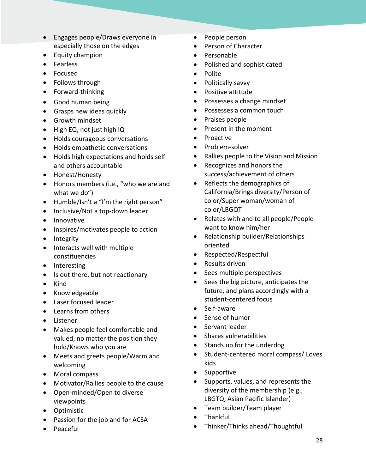- Engages people/Draws everyone in especially those on the edges
- Equity champion
- Fearless
- Focused
- Follows through
- Forward-thinking
- Good human being
- Grasps new ideas quickly
- Growth mindset
- High EQ, not just high IQ
- Holds courageous conversations
- Holds empathetic conversations
- Holds high expectations and holds self and others accountable
- Honest/Honesty
- Honors members (i.e., "who we are and what we do")
- Humble/Isn't a "I'm the right person"
- Inclusive/Not a top-down leader
- Innovative
- Inspires/motivates people to action
- Integrity
- Interacts well with multiple constituencies
- Interesting
- Is out there, but not reactionary
- Kind
- Knowledgeable
- Laser focused leader
- Learns from others
- Listener
- Makes people feel comfortable and valued, no matter the position they hold/Knows who you are
- Meets and greets people/Warm and welcoming
- Moral compass
- Motivator/Rallies people to the cause
- Open-minded/Open to diverse viewpoints
- Optimistic
- Passion for the job and for ACSA
- Peaceful
- People person
- Person of Character
- Personable
- Polished and sophisticated
- Polite
- Politically savvy
- Positive attitude
- Possesses a change mindset
- Possesses a common touch
- Praises people
- Present in the moment
- Proactive
- Problem-solver
- Rallies people to the Vision and Mission
- Recognizes and honors the success/achievement of others
- Reflects the demographics of California/Brings diversity/Person of color/Super woman/woman of color/LBGQT
- Relates with and to all people/People want to know him/her
- Relationship builder/Relationships oriented
- Respected/Respectful
- Results driven
- Sees multiple perspectives
- Sees the big picture, anticipates the future, and plans accordingly with a student-centered focus
- Self-aware
- Sense of humor
- Servant leader
- Shares vulnerabilities
- Stands up for the underdog
- Student-centered moral compass/ Loves kids
- Supportive
- Supports, values, and represents the diversity of the membership (e.g., LBGTQ, Asian Pacific Islander)
- Team builder/Team player
- Thankful
- Thinker/Thinks ahead/Thoughtful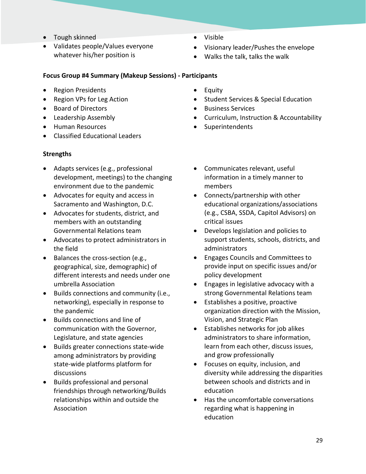- Tough skinned
- Validates people/Values everyone whatever his/her position is
- Visible
- Visionary leader/Pushes the envelope
- Walks the talk, talks the walk

# **Focus Group #4 Summary (Makeup Sessions) - Participants**

- Region Presidents
- Region VPs for Leg Action
- Board of Directors
- Leadership Assembly
- Human Resources
- Classified Educational Leaders

# **Strengths**

- Adapts services (e.g., professional development, meetings) to the changing environment due to the pandemic
- Advocates for equity and access in Sacramento and Washington, D.C.
- Advocates for students, district, and members with an outstanding Governmental Relations team
- Advocates to protect administrators in the field
- Balances the cross-section (e.g., geographical, size, demographic) of different interests and needs under one umbrella Association
- Builds connections and community (i.e., networking), especially in response to the pandemic
- Builds connections and line of communication with the Governor, Legislature, and state agencies
- Builds greater connections state-wide among administrators by providing state-wide platforms platform for discussions
- Builds professional and personal friendships through networking/Builds relationships within and outside the Association
- Equity
- Student Services & Special Education
- Business Services
- Curriculum, Instruction & Accountability
- **Superintendents**
- Communicates relevant, useful information in a timely manner to members
- Connects/partnership with other educational organizations/associations (e.g., CSBA, SSDA, Capitol Advisors) on critical issues
- Develops legislation and policies to support students, schools, districts, and administrators
- Engages Councils and Committees to provide input on specific issues and/or policy development
- Engages in legislative advocacy with a strong Governmental Relations team
- Establishes a positive, proactive organization direction with the Mission, Vision, and Strategic Plan
- Establishes networks for job alikes administrators to share information, learn from each other, discuss issues, and grow professionally
- Focuses on equity, inclusion, and diversity while addressing the disparities between schools and districts and in education
- Has the uncomfortable conversations regarding what is happening in education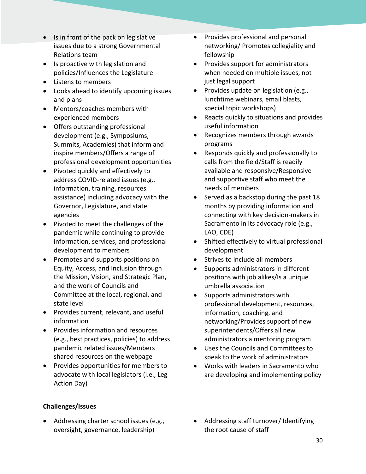- Is in front of the pack on legislative issues due to a strong Governmental Relations team
- Is proactive with legislation and policies/Influences the Legislature
- Listens to members
- Looks ahead to identify upcoming issues and plans
- Mentors/coaches members with experienced members
- Offers outstanding professional development (e.g., Symposiums, Summits, Academies) that inform and inspire members/Offers a range of professional development opportunities
- Pivoted quickly and effectively to address COVID-related issues (e.g., information, training, resources. assistance) including advocacy with the Governor, Legislature, and state agencies
- Pivoted to meet the challenges of the pandemic while continuing to provide information, services, and professional development to members
- Promotes and supports positions on Equity, Access, and Inclusion through the Mission, Vision, and Strategic Plan, and the work of Councils and Committee at the local, regional, and state level
- Provides current, relevant, and useful information
- Provides information and resources (e.g., best practices, policies) to address pandemic related issues/Members shared resources on the webpage
- Provides opportunities for members to advocate with local legislators (i.e., Leg Action Day)

# **Challenges/Issues**

• Addressing charter school issues (e.g., oversight, governance, leadership)

- Provides professional and personal networking/ Promotes collegiality and fellowship
- Provides support for administrators when needed on multiple issues, not just legal support
- Provides update on legislation (e.g., lunchtime webinars, email blasts, special topic workshops)
- Reacts quickly to situations and provides useful information
- Recognizes members through awards programs
- Responds quickly and professionally to calls from the field/Staff is readily available and responsive/Responsive and supportive staff who meet the needs of members
- Served as a backstop during the past 18 months by providing information and connecting with key decision-makers in Sacramento in its advocacy role (e.g., LAO, CDE)
- Shifted effectively to virtual professional development
- Strives to include all members
- Supports administrators in different positions with job alikes/Is a unique umbrella association
- Supports administrators with professional development, resources, information, coaching, and networking/Provides support of new superintendents/Offers all new administrators a mentoring program
- Uses the Councils and Committees to speak to the work of administrators
- Works with leaders in Sacramento who are developing and implementing policy
- Addressing staff turnover/ Identifying the root cause of staff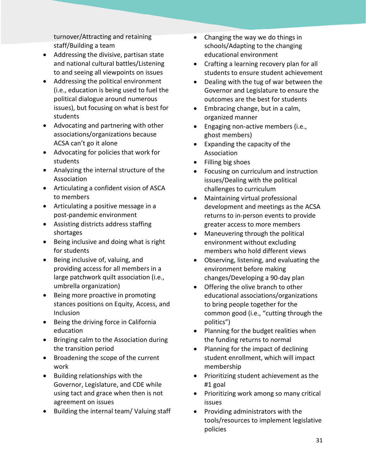turnover/Attracting and retaining staff/Building a team

- Addressing the divisive, partisan state and national cultural battles/Listening to and seeing all viewpoints on issues
- Addressing the political environment (i.e., education is being used to fuel the political dialogue around numerous issues), but focusing on what is best for students
- Advocating and partnering with other associations/organizations because ACSA can't go it alone
- Advocating for policies that work for students
- Analyzing the internal structure of the Association
- Articulating a confident vision of ASCA to members
- Articulating a positive message in a post-pandemic environment
- Assisting districts address staffing shortages
- Being inclusive and doing what is right for students
- Being inclusive of, valuing, and providing access for all members in a large patchwork quilt association (i.e., umbrella organization)
- Being more proactive in promoting stances positions on Equity, Access, and Inclusion
- Being the driving force in California education
- Bringing calm to the Association during the transition period
- Broadening the scope of the current work
- Building relationships with the Governor, Legislature, and CDE while using tact and grace when then is not agreement on issues
- Building the internal team/ Valuing staff
- Changing the way we do things in schools/Adapting to the changing educational environment
- Crafting a learning recovery plan for all students to ensure student achievement
- Dealing with the tug of war between the Governor and Legislature to ensure the outcomes are the best for students
- Embracing change, but in a calm, organized manner
- Engaging non-active members (i.e., ghost members)
- Expanding the capacity of the Association
- Filling big shoes
- Focusing on curriculum and instruction issues/Dealing with the political challenges to curriculum
- Maintaining virtual professional development and meetings as the ACSA returns to in-person events to provide greater access to more members
- Maneuvering through the political environment without excluding members who hold different views
- Observing, listening, and evaluating the environment before making changes/Developing a 90-day plan
- Offering the olive branch to other educational associations/organizations to bring people together for the common good (i.e., "cutting through the politics")
- Planning for the budget realities when the funding returns to normal
- Planning for the impact of declining student enrollment, which will impact membership
- Prioritizing student achievement as the #1 goal
- Prioritizing work among so many critical issues
- Providing administrators with the tools/resources to implement legislative policies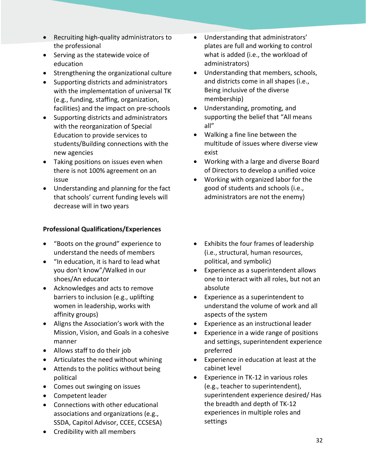- Recruiting high-quality administrators to the professional
- Serving as the statewide voice of education
- Strengthening the organizational culture
- Supporting districts and administrators with the implementation of universal TK (e.g., funding, staffing, organization, facilities) and the impact on pre-schools
- Supporting districts and administrators with the reorganization of Special Education to provide services to students/Building connections with the new agencies
- Taking positions on issues even when there is not 100% agreement on an issue
- Understanding and planning for the fact that schools' current funding levels will decrease will in two years

# **Professional Qualifications/Experiences**

- "Boots on the ground" experience to understand the needs of members
- "In education, it is hard to lead what you don't know"/Walked in our shoes/An educator
- Acknowledges and acts to remove barriers to inclusion (e.g., uplifting women in leadership, works with affinity groups)
- Aligns the Association's work with the Mission, Vision, and Goals in a cohesive manner
- Allows staff to do their job
- Articulates the need without whining
- Attends to the politics without being political
- Comes out swinging on issues
- Competent leader
- Connections with other educational associations and organizations (e.g., SSDA, Capitol Advisor, CCEE, CCSESA)
- Credibility with all members
- Understanding that administrators' plates are full and working to control what is added (i.e., the workload of administrators)
- Understanding that members, schools, and districts come in all shapes (i.e., Being inclusive of the diverse membership)
- Understanding, promoting, and supporting the belief that "All means all"
- Walking a fine line between the multitude of issues where diverse view exist
- Working with a large and diverse Board of Directors to develop a unified voice
- Working with organized labor for the good of students and schools (i.e., administrators are not the enemy)
- Exhibits the four frames of leadership (i.e., structural, human resources, political, and symbolic)
- Experience as a superintendent allows one to interact with all roles, but not an absolute
- Experience as a superintendent to understand the volume of work and all aspects of the system
- Experience as an instructional leader
- Experience in a wide range of positions and settings, superintendent experience preferred
- Experience in education at least at the cabinet level
- Experience in TK-12 in various roles (e.g., teacher to superintendent), superintendent experience desired/ Has the breadth and depth of TK-12 experiences in multiple roles and settings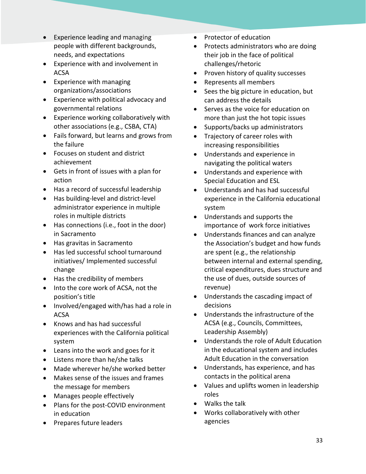- Experience leading and managing people with different backgrounds, needs, and expectations
- Experience with and involvement in ACSA
- Experience with managing organizations/associations
- Experience with political advocacy and governmental relations
- Experience working collaboratively with other associations (e.g., CSBA, CTA)
- Fails forward, but learns and grows from the failure
- Focuses on student and district achievement
- Gets in front of issues with a plan for action
- Has a record of successful leadership
- Has building-level and district-level administrator experience in multiple roles in multiple districts
- Has connections (i.e., foot in the door) in Sacramento
- Has gravitas in Sacramento
- Has led successful school turnaround initiatives/ Implemented successful change
- Has the credibility of members
- Into the core work of ACSA, not the position's title
- Involved/engaged with/has had a role in ACSA
- Knows and has had successful experiences with the California political system
- Leans into the work and goes for it
- Listens more than he/she talks
- Made wherever he/she worked better
- Makes sense of the issues and frames the message for members
- Manages people effectively
- Plans for the post-COVID environment in education
- Prepares future leaders
- Protector of education
- Protects administrators who are doing their job in the face of political challenges/rhetoric
- Proven history of quality successes
- Represents all members
- Sees the big picture in education, but can address the details
- Serves as the voice for education on more than just the hot topic issues
- Supports/backs up administrators
- Trajectory of career roles with increasing responsibilities
- Understands and experience in navigating the political waters
- Understands and experience with Special Education and ESL
- Understands and has had successful experience in the California educational system
- Understands and supports the importance of work force initiatives
- Understands finances and can analyze the Association's budget and how funds are spent (e.g., the relationship between internal and external spending, critical expenditures, dues structure and the use of dues, outside sources of revenue)
- Understands the cascading impact of decisions
- Understands the infrastructure of the ACSA (e.g., Councils, Committees, Leadership Assembly)
- Understands the role of Adult Education in the educational system and includes Adult Education in the conversation
- Understands, has experience, and has contacts in the political arena
- Values and uplifts women in leadership roles
- Walks the talk
- Works collaboratively with other agencies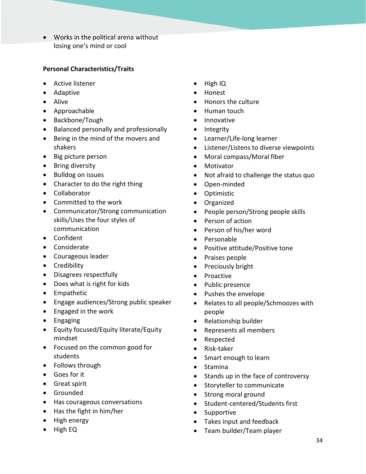• Works in the political arena without losing one's mind or cool

# **Personal Characteristics/Traits**

- Active listener
- Adaptive
- Alive
- Approachable
- Backbone/Tough
- Balanced personally and professionally
- Being in the mind of the movers and shakers
- Big picture person
- Bring diversity
- Bulldog on issues
- Character to do the right thing
- Collaborator
- Committed to the work
- Communicator/Strong communication skills/Uses the four styles of communication
- Confident
- Considerate
- Courageous leader
- Credibility
- Disagrees respectfully
- Does what is right for kids
- Empathetic
- Engage audiences/Strong public speaker
- Engaged in the work
- Engaging
- Equity focused/Equity literate/Equity mindset
- Focused on the common good for students
- Follows through
- Goes for it
- Great spirit
- Grounded
- Has courageous conversations
- Has the fight in him/her
- High energy
- High EQ
- High IQ
- Honest
- Honors the culture
- Human touch
- Innovative
- Integrity
- Learner/Life-long learner
- Listener/Listens to diverse viewpoints
- Moral compass/Moral fiber
- Motivator
- Not afraid to challenge the status quo
- Open-minded
- Optimistic
- Organized
- People person/Strong people skills
- Person of action
- Person of his/her word
- Personable
- Positive attitude/Positive tone
- Praises people
- Preciously bright
- Proactive
- Public presence
- Pushes the envelope
- Relates to all people/Schmoozes with people
- Relationship builder
- Represents all members
- Respected
- Risk-taker
- Smart enough to learn
- Stamina
- Stands up in the face of controversy
- Storyteller to communicate
- Strong moral ground
- Student-centered/Students first
- Supportive
- Takes input and feedback
- Team builder/Team player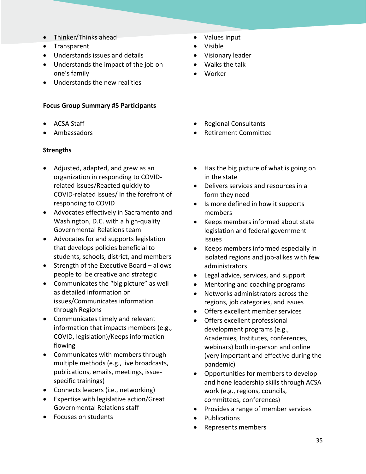- Thinker/Thinks ahead
- Transparent
- Understands issues and details
- Understands the impact of the job on one's family
- Understands the new realities

#### **Focus Group Summary #5 Participants**

- ACSA Staff
- Ambassadors

# **Strengths**

- Adjusted, adapted, and grew as an organization in responding to COVIDrelated issues/Reacted quickly to COVID-related issues/ In the forefront of responding to COVID
- Advocates effectively in Sacramento and Washington, D.C. with a high-quality Governmental Relations team
- Advocates for and supports legislation that develops policies beneficial to students, schools, district, and members
- Strength of the Executive Board allows people to be creative and strategic
- Communicates the "big picture" as well as detailed information on issues/Communicates information through Regions
- Communicates timely and relevant information that impacts members (e.g., COVID, legislation)/Keeps information flowing
- Communicates with members through multiple methods (e.g., live broadcasts, publications, emails, meetings, issuespecific trainings)
- Connects leaders (i.e., networking)
- Expertise with legislative action/Great Governmental Relations staff
- Focuses on students
- Values input
- Visible
- Visionary leader
- Walks the talk
- Worker
- Regional Consultants
- Retirement Committee
- Has the big picture of what is going on in the state
- Delivers services and resources in a form they need
- Is more defined in how it supports members
- Keeps members informed about state legislation and federal government issues
- Keeps members informed especially in isolated regions and job-alikes with few administrators
- Legal advice, services, and support
- Mentoring and coaching programs
- Networks administrators across the regions, job categories, and issues
- Offers excellent member services
- Offers excellent professional development programs (e.g., Academies, Institutes, conferences, webinars) both in-person and online (very important and effective during the pandemic)
- Opportunities for members to develop and hone leadership skills through ACSA work (e.g., regions, councils, committees, conferences)
- Provides a range of member services
- Publications
- Represents members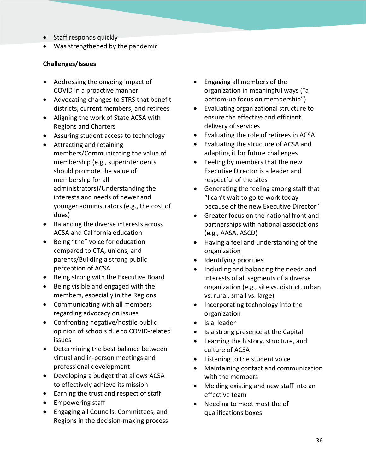- Staff responds quickly
- Was strengthened by the pandemic

# **Challenges/Issues**

- Addressing the ongoing impact of COVID in a proactive manner
- Advocating changes to STRS that benefit districts, current members, and retirees
- Aligning the work of State ACSA with Regions and Charters
- Assuring student access to technology
- Attracting and retaining members/Communicating the value of membership (e.g., superintendents should promote the value of membership for all administrators)/Understanding the interests and needs of newer and younger administrators (e.g., the cost of dues)
- Balancing the diverse interests across ACSA and California education
- Being "the" voice for education compared to CTA, unions, and parents/Building a strong public perception of ACSA
- Being strong with the Executive Board
- Being visible and engaged with the members, especially in the Regions
- Communicating with all members regarding advocacy on issues
- Confronting negative/hostile public opinion of schools due to COVID-related issues
- Determining the best balance between virtual and in-person meetings and professional development
- Developing a budget that allows ACSA to effectively achieve its mission
- Earning the trust and respect of staff
- Empowering staff
- Engaging all Councils, Committees, and Regions in the decision-making process
- Engaging all members of the organization in meaningful ways ("a bottom-up focus on membership")
- Evaluating organizational structure to ensure the effective and efficient delivery of services
- Evaluating the role of retirees in ACSA
- Evaluating the structure of ACSA and adapting it for future challenges
- Feeling by members that the new Executive Director is a leader and respectful of the sites
- Generating the feeling among staff that "I can't wait to go to work today because of the new Executive Director"
- Greater focus on the national front and partnerships with national associations (e.g., AASA, ASCD)
- Having a feel and understanding of the organization
- Identifying priorities
- Including and balancing the needs and interests of all segments of a diverse organization (e.g., site vs. district, urban vs. rural, small vs. large)
- Incorporating technology into the organization
- Is a leader
- Is a strong presence at the Capital
- Learning the history, structure, and culture of ACSA
- Listening to the student voice
- Maintaining contact and communication with the members
- Melding existing and new staff into an effective team
- Needing to meet most the of qualifications boxes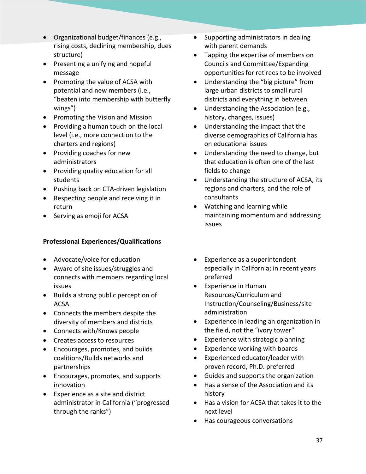- Organizational budget/finances (e.g., rising costs, declining membership, dues structure)
- Presenting a unifying and hopeful message
- Promoting the value of ACSA with potential and new members (i.e., "beaten into membership with butterfly wings")
- Promoting the Vision and Mission
- Providing a human touch on the local level (i.e., more connection to the charters and regions)
- Providing coaches for new administrators
- Providing quality education for all students
- Pushing back on CTA-driven legislation
- Respecting people and receiving it in return
- Serving as emoji for ACSA

# **Professional Experiences/Qualifications**

- Advocate/voice for education
- Aware of site issues/struggles and connects with members regarding local issues
- Builds a strong public perception of ACSA
- Connects the members despite the diversity of members and districts
- Connects with/Knows people
- Creates access to resources
- Encourages, promotes, and builds coalitions/Builds networks and partnerships
- Encourages, promotes, and supports innovation
- Experience as a site and district administrator in California ("progressed through the ranks")
- Supporting administrators in dealing with parent demands
- Tapping the expertise of members on Councils and Committee/Expanding opportunities for retirees to be involved
- Understanding the "big picture" from large urban districts to small rural districts and everything in between
- Understanding the Association (e.g., history, changes, issues)
- Understanding the impact that the diverse demographics of California has on educational issues
- Understanding the need to change, but that education is often one of the last fields to change
- Understanding the structure of ACSA, its regions and charters, and the role of consultants
- Watching and learning while maintaining momentum and addressing issues
- Experience as a superintendent especially in California; in recent years preferred
- Experience in Human Resources/Curriculum and Instruction/Counseling/Business/site administration
- Experience in leading an organization in the field, not the "ivory tower"
- Experience with strategic planning
- Experience working with boards
- Experienced educator/leader with proven record, Ph.D. preferred
- Guides and supports the organization
- Has a sense of the Association and its history
- Has a vision for ACSA that takes it to the next level
- Has courageous conversations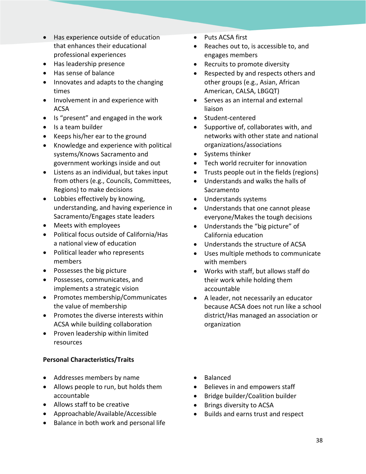- Has experience outside of education that enhances their educational professional experiences
- Has leadership presence
- Has sense of balance
- Innovates and adapts to the changing times
- Involvement in and experience with ACSA
- Is "present" and engaged in the work
- Is a team builder
- Keeps his/her ear to the ground
- Knowledge and experience with political systems/Knows Sacramento and government workings inside and out
- Listens as an individual, but takes input from others (e.g., Councils, Committees, Regions) to make decisions
- Lobbies effectively by knowing, understanding, and having experience in Sacramento/Engages state leaders
- Meets with employees
- Political focus outside of California/Has a national view of education
- Political leader who represents members
- Possesses the big picture
- Possesses, communicates, and implements a strategic vision
- Promotes membership/Communicates the value of membership
- Promotes the diverse interests within ACSA while building collaboration
- Proven leadership within limited resources

# **Personal Characteristics/Traits**

- Addresses members by name
- Allows people to run, but holds them accountable
- Allows staff to be creative
- Approachable/Available/Accessible
- Balance in both work and personal life
- Puts ACSA first
- Reaches out to, is accessible to, and engages members
- Recruits to promote diversity
- Respected by and respects others and other groups (e.g., Asian, African American, CALSA, LBGQT)
- Serves as an internal and external liaison
- Student-centered
- Supportive of, collaborates with, and networks with other state and national organizations/associations
- Systems thinker
- Tech world recruiter for innovation
- Trusts people out in the fields (regions)
- Understands and walks the halls of Sacramento
- Understands systems
- Understands that one cannot please everyone/Makes the tough decisions
- Understands the "big picture" of California education
- Understands the structure of ACSA
- Uses multiple methods to communicate with members
- Works with staff, but allows staff do their work while holding them accountable
- A leader, not necessarily an educator because ACSA does not run like a school district/Has managed an association or organization
- Balanced
- Believes in and empowers staff
- Bridge builder/Coalition builder
- Brings diversity to ACSA
- Builds and earns trust and respect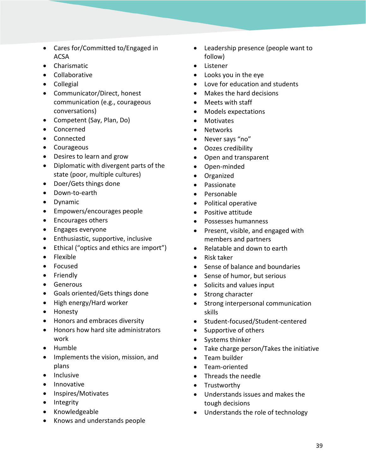- Cares for/Committed to/Engaged in ACSA
- Charismatic
- Collaborative
- Collegial
- Communicator/Direct, honest communication (e.g., courageous conversations)
- Competent (Say, Plan, Do)
- Concerned
- Connected
- Courageous
- Desires to learn and grow
- Diplomatic with divergent parts of the state (poor, multiple cultures)
- Doer/Gets things done
- Down-to-earth
- Dynamic
- Empowers/encourages people
- Encourages others
- Engages everyone
- Enthusiastic, supportive, inclusive
- Ethical ("optics and ethics are import")
- Flexible
- Focused
- Friendly
- Generous
- Goals oriented/Gets things done
- High energy/Hard worker
- Honesty
- Honors and embraces diversity
- Honors how hard site administrators work
- Humble
- Implements the vision, mission, and plans
- Inclusive
- Innovative
- Inspires/Motivates
- Integrity
- Knowledgeable
- Knows and understands people
- Leadership presence (people want to follow)
- Listener
- Looks you in the eye
- Love for education and students
- Makes the hard decisions
- Meets with staff
- Models expectations
- Motivates
- Networks
- Never says "no"
- Oozes credibility
- Open and transparent
- Open-minded
- Organized
- Passionate
- Personable
- Political operative
- Positive attitude
- Possesses humanness
- Present, visible, and engaged with members and partners
- Relatable and down to earth
- Risk taker
- Sense of balance and boundaries
- Sense of humor, but serious
- Solicits and values input
- Strong character
- Strong interpersonal communication skills
- Student-focused/Student-centered
- Supportive of others
- Systems thinker
- Take charge person/Takes the initiative
- Team builder
- Team-oriented
- Threads the needle
- Trustworthy
- Understands issues and makes the tough decisions
- Understands the role of technology